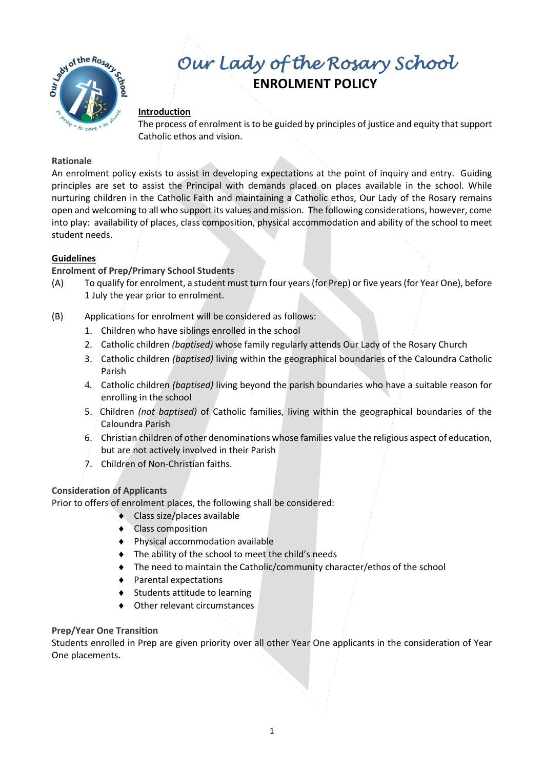

# *Our Lady of the Rosary School* **ENROLMENT POLICY**

## **Introduction**

The process of enrolment is to be guided by principles of justice and equity that support Catholic ethos and vision.

## **Rationale**

An enrolment policy exists to assist in developing expectations at the point of inquiry and entry. Guiding principles are set to assist the Principal with demands placed on places available in the school. While nurturing children in the Catholic Faith and maintaining a Catholic ethos, Our Lady of the Rosary remains open and welcoming to all who support its values and mission. The following considerations, however, come into play: availability of places, class composition, physical accommodation and ability of the school to meet student needs.

# **Guidelines**

**Enrolment of Prep/Primary School Students**

- (A) To qualify for enrolment, a student must turn four years (for Prep) or five years (for Year One), before 1 July the year prior to enrolment.
- (B) Applications for enrolment will be considered as follows:
	- 1. Children who have siblings enrolled in the school
	- 2. Catholic children *(baptised)* whose family regularly attends Our Lady of the Rosary Church
	- 3. Catholic children *(baptised)* living within the geographical boundaries of the Caloundra Catholic Parish
	- 4. Catholic children *(baptised)* living beyond the parish boundaries who have a suitable reason for enrolling in the school
	- 5. Children *(not baptised)* of Catholic families, living within the geographical boundaries of the Caloundra Parish
	- 6. Christian children of other denominations whose families value the religious aspect of education, but are not actively involved in their Parish
	- 7. Children of Non-Christian faiths.

## **Consideration of Applicants**

Prior to offers of enrolment places, the following shall be considered:

- Class size/places available
- ◆ Class composition
- Physical accommodation available
- $\bullet$  The ability of the school to meet the child's needs
- The need to maintain the Catholic/community character/ethos of the school
- ◆ Parental expectations
- $\bullet$  Students attitude to learning
- Other relevant circumstances

## **Prep/Year One Transition**

Students enrolled in Prep are given priority over all other Year One applicants in the consideration of Year One placements.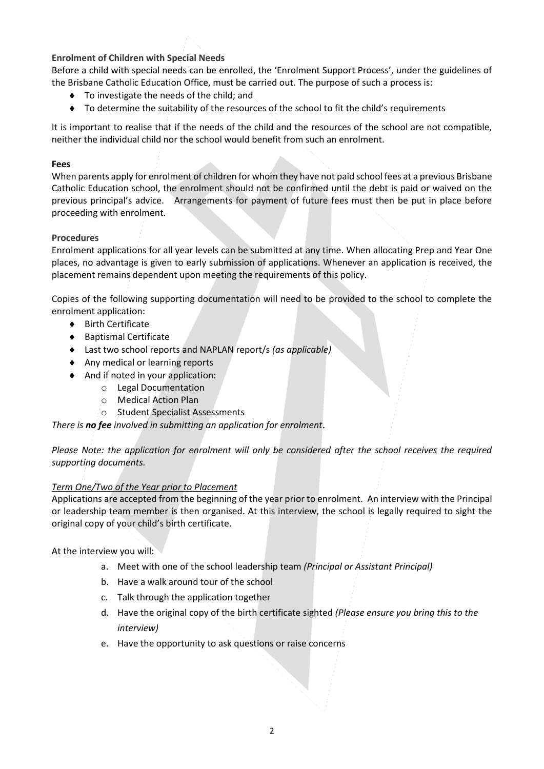# **Enrolment of Children with Special Needs**

Before a child with special needs can be enrolled, the 'Enrolment Support Process', under the guidelines of the Brisbane Catholic Education Office, must be carried out. The purpose of such a process is:

- $\bullet$  To investigate the needs of the child; and
- To determine the suitability of the resources of the school to fit the child's requirements

It is important to realise that if the needs of the child and the resources of the school are not compatible, neither the individual child nor the school would benefit from such an enrolment.

## **Fees**

When parents apply for enrolment of children for whom they have not paid school fees at a previous Brisbane Catholic Education school, the enrolment should not be confirmed until the debt is paid or waived on the previous principal's advice. Arrangements for payment of future fees must then be put in place before proceeding with enrolment.

# **Procedures**

Enrolment applications for all year levels can be submitted at any time. When allocating Prep and Year One places, no advantage is given to early submission of applications. Whenever an application is received, the placement remains dependent upon meeting the requirements of this policy.

Copies of the following supporting documentation will need to be provided to the school to complete the enrolment application:

- ◆ Birth Certificate
- ◆ Baptismal Certificate
- Last two school reports and NAPLAN report/s *(as applicable)*
- ◆ Any medical or learning reports
- $\triangleleft$  And if noted in your application:
	- o Legal Documentation
	- o Medical Action Plan
	- o Student Specialist Assessments

*There is no fee involved in submitting an application for enrolment*.

*Please Note: the application for enrolment will only be considered after the school receives the required supporting documents.*

# *Term One/Two of the Year prior to Placement*

Applications are accepted from the beginning of the year prior to enrolment. An interview with the Principal or leadership team member is then organised. At this interview, the school is legally required to sight the original copy of your child's birth certificate.

At the interview you will:

- a. Meet with one of the school leadership team *(Principal or Assistant Principal)*
- b. Have a walk around tour of the school
- c. Talk through the application together
- d. Have the original copy of the birth certificate sighted *(Please ensure you bring this to the interview)*
- e. Have the opportunity to ask questions or raise concerns